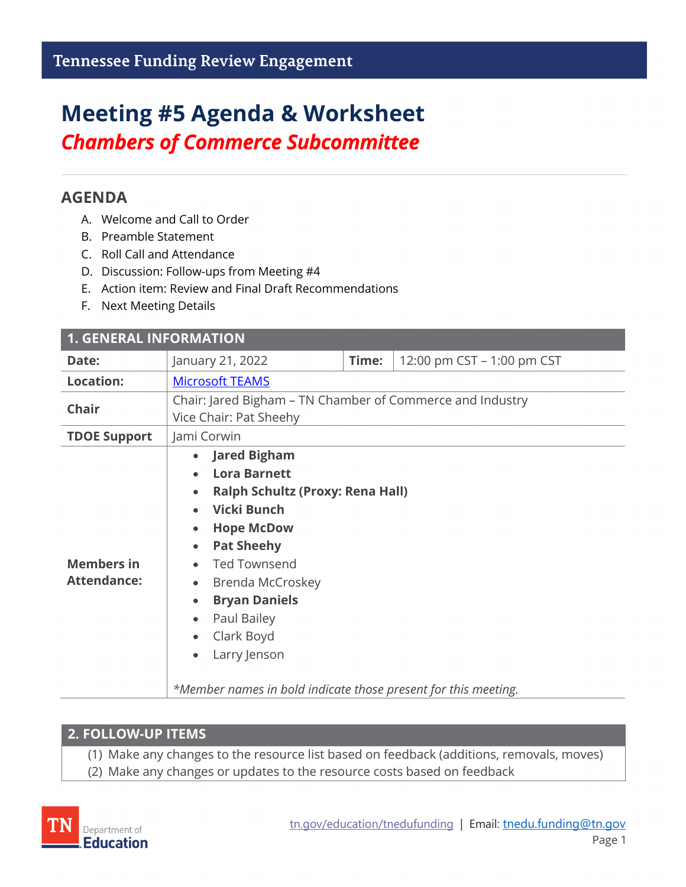# **Meeting #5 Agenda & Worksheet** *Chambers of Commerce Subcommittee*

## **AGENDA**

- A. Welcome and Call to Order
- B. Preamble Statement
- C. Roll Call and Attendance
- D. Discussion: Follow-ups from Meeting #4
- E. Action item: Review and Final Draft Recommendations
- F. Next Meeting Details

| <b>1. GENERAL INFORMATION</b>           |                                                                                                                                                                                                                                                                                                                                                                                                                             |       |                            |  |
|-----------------------------------------|-----------------------------------------------------------------------------------------------------------------------------------------------------------------------------------------------------------------------------------------------------------------------------------------------------------------------------------------------------------------------------------------------------------------------------|-------|----------------------------|--|
| Date:                                   | January 21, 2022                                                                                                                                                                                                                                                                                                                                                                                                            | Time: | 12:00 pm CST - 1:00 pm CST |  |
| <b>Location:</b>                        | <b>Microsoft TEAMS</b>                                                                                                                                                                                                                                                                                                                                                                                                      |       |                            |  |
| <b>Chair</b>                            | Chair: Jared Bigham - TN Chamber of Commerce and Industry<br>Vice Chair: Pat Sheehy                                                                                                                                                                                                                                                                                                                                         |       |                            |  |
| <b>TDOE Support</b>                     | Jami Corwin                                                                                                                                                                                                                                                                                                                                                                                                                 |       |                            |  |
| <b>Members in</b><br><b>Attendance:</b> | <b>Jared Bigham</b><br>$\bullet$<br><b>Lora Barnett</b><br><b>Ralph Schultz (Proxy: Rena Hall)</b><br>$\bullet$<br>Vicki Bunch<br><b>Hope McDow</b><br>$\bullet$<br><b>Pat Sheehy</b><br>$\bullet$<br><b>Ted Townsend</b><br>Brenda McCroskey<br>$\bullet$<br><b>Bryan Daniels</b><br>$\bullet$<br>Paul Bailey<br>$\bullet$<br>Clark Boyd<br>Larry Jenson<br>*Member names in bold indicate those present for this meeting. |       |                            |  |

### **2. FOLLOW-UP ITEMS**

(1) Make any changes to the resource list based on feedback (additions, removals, moves)

(2) Make any changes or updates to the resource costs based on feedback